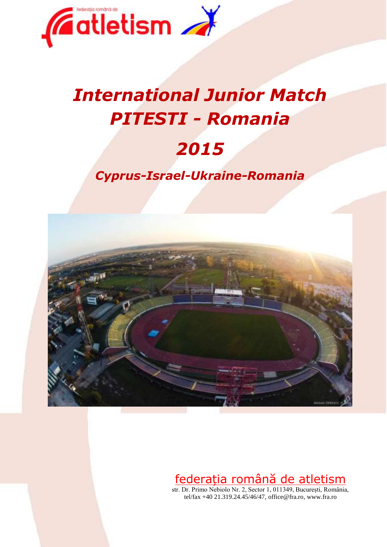

# *International Junior Match PITESTI - Romania 2015*

# *Cyprus-Israel-Ukraine-Romania*



# federația română de atletism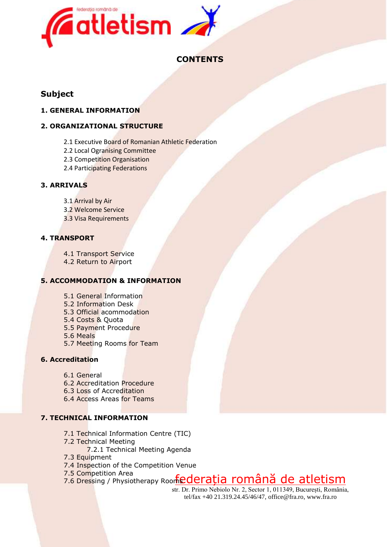

### **CONTENTS**

### **Subject**

#### **1. GENERAL INFORMATION**

#### **2. ORGANIZATIONAL STRUCTURE**

- 2.1 Executive Board of Romanian Athletic Federation
- 2.2 Local Ogranising Committee
- 2.3 Competition Organisation
- 2.4 Participating Federations

#### **3. ARRIVALS**

- 3.1 Arrival by Air
- 3.2 Welcome Service
- 3.3 Visa Requirements

#### **4. TRANSPORT**

4.1 Transport Service

4.2 Return to Airport

#### **5. ACCOMMODATION & INFORMATION**

- 5.1 General Information
- 5.2 Information Desk
- 5.3 Official acommodation
- 5.4 Costs & Quota
- 5.5 Payment Procedure
- 5.6 Meals
- 5.7 Meeting Rooms for Team

#### **6. Accreditation**

- 6.1 General
- 6.2 Accreditation Procedure
- 6.3 Loss of Accreditation
- 6.4 Access Areas for Teams

#### **7. TECHNICAL INFORMATION**

- 7.1 Technical Information Centre (TIC)
- 7.2 Technical Meeting
	- 7.2.1 Technical Meeting Agenda
- 7.3 Equipment
- 7.4 Inspection of the Competition Venue
- 7.5 Competition Area
- 7.5 Competition Area<br>7.6 Dressing / Physiotherapy Roorfiederația română de atletism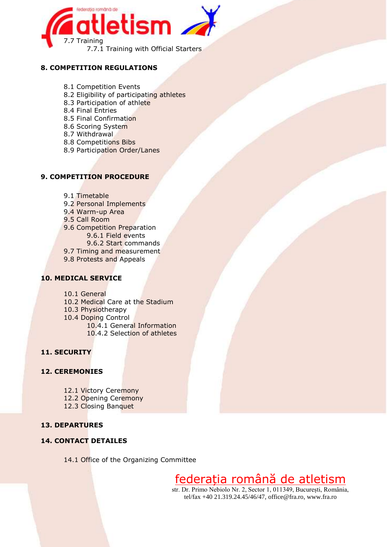

#### **8. COMPETITION REGULATIONS**

- 8.1 Competition Events
- 8.2 Eligibility of participating athletes
- 8.3 Participation of athlete
- 8.4 Final Entries
- 8.5 Final Confirmation
- 8.6 Scoring System
- 8.7 Withdrawal
- 8.8 Competitions Bibs
- 8.9 Participation Order/Lanes

#### **9. COMPETITION PROCEDURE**

- 9.1 Timetable
- 9.2 Personal Implements
- 9.4 Warm-up Area
- 9.5 Call Room
- 9.6 Competition Preparation
	- 9.6.1 Field events
	- 9.6.2 Start commands
- 9.7 Timing and measurement
- 9.8 Protests and Appeals

#### **10. MEDICAL SERVICE**

- 10.1 General
- 10.2 Medical Care at the Stadium
- 10.3 Physiotherapy
- 10.4 Doping Control
	- 10.4.1 General Information 10.4.2 Selection of athletes

#### **11. SECURITY**

#### **12. CEREMONIES**

- 12.1 Victory Ceremony
- 12.2 Opening Ceremony
- 12.3 Closing Banquet

#### **13. DEPARTURES**

#### **14. CONTACT DETAILES**

14.1 Office of the Organizing Committee

# federația română de atletism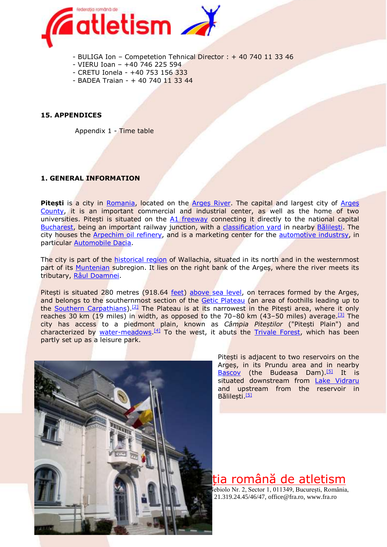

- BULIGA Ion Competetion Tehnical Director : + 40 740 11 33 46
- VIERU Ioan +40 746 225 594
- CRETU Ionela +40 753 156 333
- BADEA Traian + 40 740 11 33 44

#### **15. APPENDICES**

Appendix 1 - Time table

#### **1. GENERAL INFORMATION**

Pitești is a city in [Romania,](http://en.wikipedia.org/wiki/Romania) located on the **Arges River**. The capital and largest city of **Arges** [County,](http://en.wikipedia.org/wiki/Arge%C8%99_County) it is an important commercial and industrial center, as well as the home of two universities. Pitești is situated on the [A1 freeway](http://en.wikipedia.org/wiki/A1_freeway_%28Romania%29) connecting it directly to the national capital [Bucharest,](http://en.wikipedia.org/wiki/Bucharest) being an important railway junction, with a [classification yard](http://en.wikipedia.org/wiki/Classification_yard) in nearby [Bălilești](http://en.wikipedia.org/wiki/B%C4%83lile%C8%99ti). The city houses the [Arpechim oil refinery,](http://en.wikipedia.org/wiki/Arpechim_Refinery) and is a marketing center for the [automotive industrsy,](http://en.wikipedia.org/wiki/Automotive_industry_in_Romania) in particular [Automobile Dacia.](http://en.wikipedia.org/wiki/Automobile_Dacia)

The city is part of the [historical region](http://en.wikipedia.org/wiki/Historical_regions_of_Romania) of Wallachia, situated in its north and in the westernmost part of its [Muntenian](http://en.wikipedia.org/wiki/Muntenia) subregion. It lies on the right bank of the Arges, where the river meets its tributary, [Râul Doamnei](http://en.wikipedia.org/wiki/R%C3%A2ul_Doamnei).

Pitești is situated 280 metres (918.64 <u>[feet\)](http://en.wikipedia.org/wiki/Foot_%28unit%29) [above sea level](http://en.wikipedia.org/wiki/Above_mean_sea_level)</u>, on terraces formed by the Argeș, and belongs to the southernmost section of the [Getic Plateau](http://en.wikipedia.org/w/index.php?title=Getic_Plateau&action=edit&redlink=1) (an area of foothills leading up to the [Southern Carpathians\)](http://en.wikipedia.org/wiki/Southern_Carpathians).<sup>[\[2\]](http://en.wikipedia.org/wiki/Pite%C8%99ti#cite_note-2)</sup> The Plateau is at its narrowest in the Pitești area, where it only reaches 30 km (19 miles) in width, as opposed to the  $70-80$  km (43-50 miles) average.<sup>[\[3\]](http://en.wikipedia.org/wiki/Pite%C8%99ti#cite_note-3)</sup> The city has access to a piedmont plain, known as *Câmpia Piteștilor* ("Pitești Plain") and characterized by [water-meadows.](http://en.wikipedia.org/wiki/Water-meadow)<sup>[\[4\]](http://en.wikipedia.org/wiki/Pite%C8%99ti#cite_note-4)</sup> To the west, it abuts the [Trivale Forest,](http://en.wikipedia.org/w/index.php?title=Trivale_Forest&action=edit&redlink=1) which has been partly set up as a leisure park.



Pitești is adjacent to two reservoirs on the Argeș, in its Prundu area and in nearby [Bascov](http://en.wikipedia.org/wiki/Bascov) (the Budeasa Dam).<sup>[\[5\]](http://en.wikipedia.org/wiki/Pite%C8%99ti#cite_note-mmediubazinepilot-5)</sup> It is situated downstream from [Lake Vidraru](http://en.wikipedia.org/wiki/Lake_Vidraru) and upstream from the reservoir in Bălilești.<sup>[\[5\]](http://en.wikipedia.org/wiki/Pite%C8%99ti#cite_note-mmediubazinepilot-5)</sup>

tia română de atletism ebiolo Nr. 2, Sector 1, 011349, București, România,

21.319.24.45/46/47[, office@fra.ro,](mailto:office@fra.ro) www.fra.ro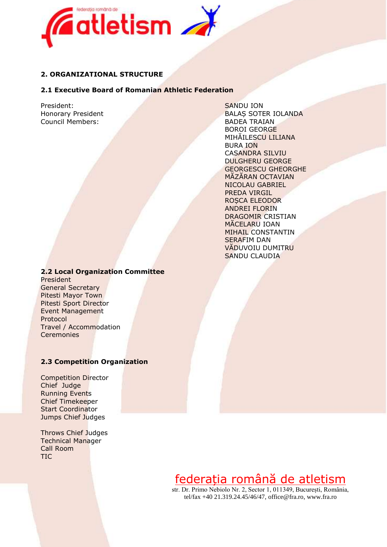

#### **2. ORGANIZATIONAL STRUCTURE**

#### **2.1 Executive Board of Romanian Athletic Federation**

President: SANDU ION Council Members: BADEA TRAIAN

Honorary President BALAŞ SOTER IOLANDA BOROI GEORGE MIHĂILESCU LILIANA BURA ION CASANDRA SILVIU DULGHERU GEORGE GEORGESCU GHEORGHE MĂZĂRAN OCTAVIAN NICOLAU GABRIEL PREDA VIRGIL ROSCA ELEODOR ANDREI FLORIN DRAGOMIR CRISTIAN MĂCELARU IOAN MIHAIL CONSTANTIN SERAFIM DAN VĂDUVOIU DUMITRU SANDU CLAUDIA

#### **2.2 Local Organization Committee**

President General Secretary Pitesti Mayor Town Pitesti Sport Director Event Management Protocol Travel / Accommodation **Ceremonies** 

#### **2.3 Competition Organization**

Competition Director Chief Judge Running Events Chief Timekeeper Start Coordinator Jumps Chief Judges

Throws Chief Judges Technical Manager Call Room TIC

# federația română de atletism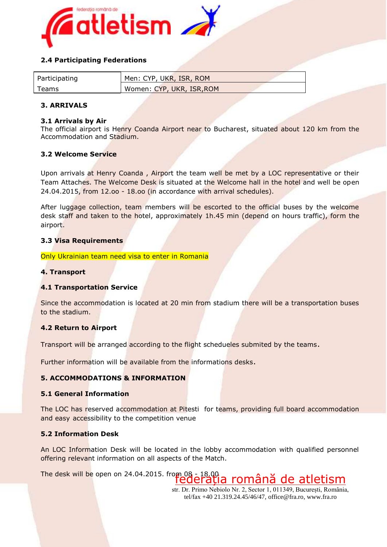

#### **2.4 Participating Federations**

| Participating | Men: CYP, UKR, ISR, ROM   |
|---------------|---------------------------|
| Teams         | Women: CYP, UKR, ISR, ROM |

#### **3. ARRIVALS**

#### **3.1 Arrivals by Air**

The official airport is Henry Coanda Airport near to Bucharest, situated about 120 km from the Accommodation and Stadium.

#### **3.2 Welcome Service**

Upon arrivals at Henry Coanda, Airport the team well be met by a LOC representative or their Team Attaches. The Welcome Desk is situated at the Welcome hall in the hotel and well be open 24.04.2015, from 12.oo - 18.oo (in accordance with arrival schedules).

After luggage collection, team members will be escorted to the official buses by the welcome desk staff and taken to the hotel, approximately 1h.45 min (depend on hours traffic), form the airport.

#### **3.3 Visa Requirements**

Only Ukrainian team need visa to enter in Romania

#### **4. Transport**

#### **4.1 Transportation Service**

Since the accommodation is located at 20 min from stadium there will be a transportation buses to the stadium.

#### **4.2 Return to Airport**

Transport will be arranged according to the flight schedueles submited by the teams.

Further information will be available from the informations desks.

#### **5. ACCOMMODATIONS & INFORMATION**

#### **5.1 General Information**

The LOC has reserved accommodation at Pitesti for teams, providing full board accommodation and easy accessibility to the competition venue

#### **5.2 Information Desk**

An LOC Information Desk will be located in the lobby accommodation with qualified personnel offering relevant information on all aspects of the Match.

federația română de atletism The desk will be open on 24.04.2015. from 08 - 18.00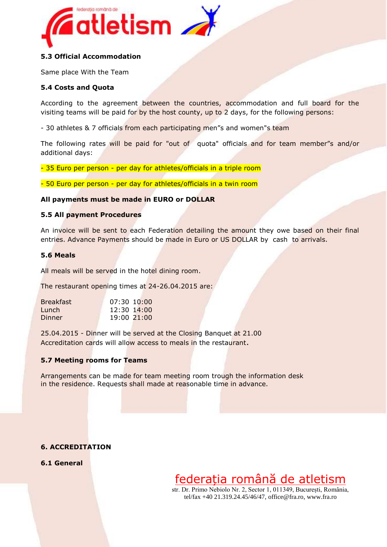

#### **5.3 Official Accommodation**

Same place With the Team

#### **5.4 Costs and Quota**

According to the agreement between the countries, accommodation and full board for the visiting teams will be paid for by the host county, up to 2 days, for the following persons:

- 30 athletes & 7 officials from each participating men"s and women"s team

The following rates will be paid for "out of quota" officials and for team member"s and/or additional days:

- 35 Euro per person - per day for athletes/officials in a triple room

- 50 Euro per person - per day for athletes/officials in a twin room

#### **All payments must be made in EURO or DOLLAR**

#### **5.5 All payment Procedures**

An invoice will be sent to each Federation detailing the amount they owe based on their final entries. Advance Payments should be made in Euro or US DOLLAR by cash to arrivals.

#### **5.6 Meals**

All meals will be served in the hotel dining room.

The restaurant opening times at 24-26.04.2015 are:

| <b>Breakfast</b> | $07:30$ 10:00 |
|------------------|---------------|
| Lunch            | 12:30 14:00   |
| Dinner           | 19:00 21:00   |

25.04.2015 - Dinner will be served at the Closing Banquet at 21.00 Accreditation cards will allow access to meals in the restaurant.

#### **5.7 Meeting rooms for Teams**

Arrangements can be made for team meeting room trough the information desk in the residence. Requests shall made at reasonable time in advance.

#### **6. ACCREDITATION**

**6.1 General** 

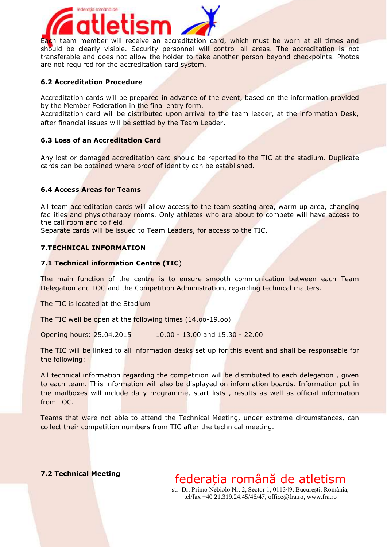

Each team member will receive an accreditation card, which must be worn at all times and should be clearly visible. Security personnel will control all areas. The accreditation is not transferable and does not allow the holder to take another person beyond checkpoints. Photos are not required for the accreditation card system.

#### **6.2 Accreditation Procedure**

Accreditation cards will be prepared in advance of the event, based on the information provided by the Member Federation in the final entry form.

Accreditation card will be distributed upon arrival to the team leader, at the information Desk, after financial issues will be settled by the Team Leader.

#### **6.3 Loss of an Accreditation Card**

Any lost or damaged accreditation card should be reported to the TIC at the stadium. Duplicate cards can be obtained where proof of identity can be established.

#### **6.4 Access Areas for Teams**

All team accreditation cards will allow access to the team seating area, warm up area, changing facilities and physiotherapy rooms. Only athletes who are about to compete will have access to the call room and to field.

Separate cards will be issued to Team Leaders, for access to the TIC.

#### **7.TECHNICAL INFORMATION**

#### **7.1 Technical information Centre (TIC**)

The main function of the centre is to ensure smooth communication between each Team Delegation and LOC and the Competition Administration, regarding technical matters.

The TIC is located at the Stadium

The TIC well be open at the following times (14.oo-19.oo)

Opening hours: 25.04.2015 10.00 - 13.00 and 15.30 - 22.00

The TIC will be linked to all information desks set up for this event and shall be responsable for the following:

All technical information regarding the competition will be distributed to each delegation , given to each team. This information will also be displayed on information boards. Information put in the mailboxes will include daily programme, start lists, results as well as official information from LOC.

Teams that were not able to attend the Technical Meeting, under extreme circumstances, can collect their competition numbers from TIC after the technical meeting.

#### **7.2 Technical Meeting**

federația română de atletism str. Dr. Primo Nebiolo Nr. 2, Sector 1, 011349, București, România, tel/fax +40 21.319.24.45/46/47[, office@fra.ro,](mailto:office@fra.ro) www.fra.ro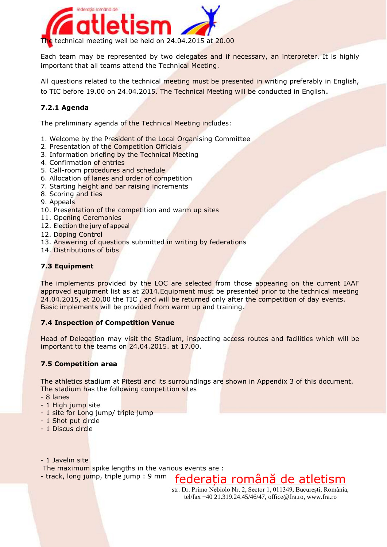

Each team may be represented by two delegates and if necessary, an interpreter. It is highly important that all teams attend the Technical Meeting.

All questions related to the technical meeting must be presented in writing preferably in English, to TIC before 19.00 on 24.04.2015. The Technical Meeting will be conducted in English.

### **7.2.1 Agenda**

The preliminary agenda of the Technical Meeting includes:

- 1. Welcome by the President of the Local Organising Committee
- 2. Presentation of the Competition Officials
- 3. Information briefing by the Technical Meeting
- 4. Confirmation of entries
- 5. Call-room procedures and schedule
- 6. Allocation of lanes and order of competition
- 7. Starting height and bar raising increments
- 8. Scoring and ties
- 9. Appeals
- 10. Presentation of the competition and warm up sites
- 11. Opening Ceremonies
- 12. Election the jury of appeal
- 12. Doping Control
- 13. Answering of questions submitted in writing by federations
- 14. Distributions of bibs

#### **7.3 Equipment**

The implements provided by the LOC are selected from those appearing on the current IAAF approved equipment list as at 2014.Equipment must be presented prior to the technical meeting 24.04.2015, at 20.00 the TIC, and will be returned only after the competition of day events. Basic implements will be provided from warm up and training.

#### **7.4 Inspection of Competition Venue**

Head of Delegation may visit the Stadium, inspecting access routes and facilities which will be important to the teams on 24.04.2015. at 17.00.

#### **7.5 Competition area**

The athletics stadium at Pitesti and its surroundings are shown in Appendix 3 of this document. The stadium has the following competition sites

- 8 lanes
- 1 High jump site
- 1 site for Long jump/ triple jump
- 1 Shot put circle
- 1 Discus circle
- 1 Javelin site

The maximum spike lengths in the various events are :

federația română de atletism - track, long jump, triple jump : 9 mm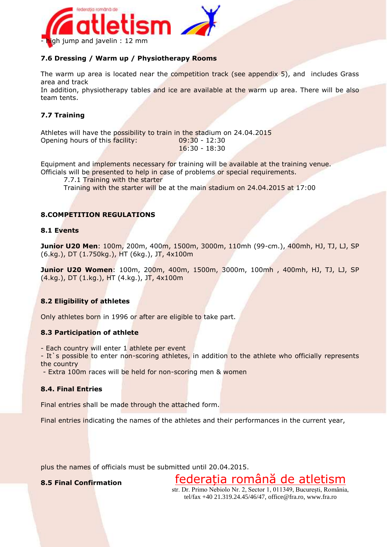

#### **7.6 Dressing / Warm up / Physiotherapy Rooms**

The warm up area is located near the competition track (see appendix 5), and includes Grass area and track

In addition, physiotherapy tables and ice are available at the warm up area. There will be also team tents.

#### **7.7 Training**

Athletes will have the possibility to train in the stadium on 24.04.2015 Opening hours of this facility: 09:30 - 12:30 16:30 - 18:30

Equipment and implements necessary for training will be available at the training venue. Officials will be presented to help in case of problems or special requirements.

7.7.1 Training with the starter

Training with the starter will be at the main stadium on 24.04.2015 at 17:00

#### **8.COMPETITION REGULATIONS**

#### **8.1 Events**

**Junior U20 Men**: 100m, 200m, 400m, 1500m, 3000m, 110mh (99-cm.), 400mh, HJ, TJ, LJ, SP (6.kg.), DT (1.750kg.), HT (6kg.), JT, 4x100m

**Junior U20 Women**: 100m, 200m, 400m, 1500m, 3000m, 100mh , 400mh, HJ, TJ, LJ, SP (4.kg.), DT (1.kg.), HT (4.kg.), JT, 4x100m

#### **8.2 Eligibility of athletes**

Only athletes born in 1996 or after are eligible to take part.

#### **8.3 Participation of athlete**

- Each country will enter 1 athlete per event

- It's possible to enter non-scoring athletes, in addition to the athlete who officially represents the country

- Extra 100m races will be held for non-scoring men & women

#### **8.4. Final Entries**

Final entries shall be made through the attached form.

Final entries indicating the names of the athletes and their performances in the current year,

plus the names of officials must be submitted until 20.04.2015.

#### **8.5 Final Confirmation**

str. Dr. Primo Nebiolo Nr. 2, Sector 1, 011349, București, România, tel/fax +40 21.319.24.45/46/47[, office@fra.ro,](mailto:office@fra.ro) www.fra.ro

federația română de atletism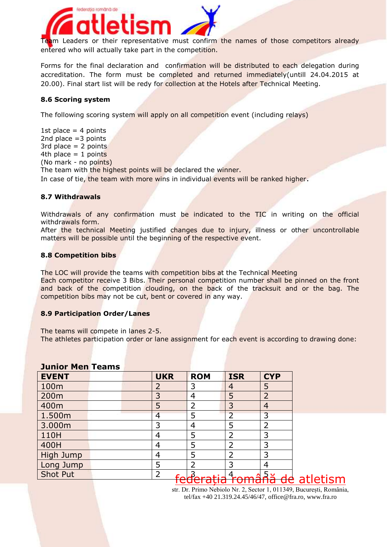

Team Leaders or their representative must confirm the names of those competitors already entered who will actually take part in the competition.

Forms for the final declaration and confirmation will be distributed to each delegation during accreditation. The form must be completed and returned immediately(untill 24.04.2015 at 20.00). Final start list will be redy for collection at the Hotels after Technical Meeting.

#### **8.6 Scoring system**

The following scoring system will apply on all competition event (including relays)

1st place  $=$  4 points 2nd place =3 points 3rd place  $= 2$  points 4th place  $= 1$  points (No mark - no points) The team with the highest points will be declared the winner. In case of tie, the team with more wins in individual events will be ranked higher.

#### **8.7 Withdrawals**

Withdrawals of any confirmation must be indicated to the TIC in writing on the official withdrawals form.

After the technical Meeting justified changes due to injury, illness or other uncontrollable matters will be possible until the beginning of the respective event.

#### **8.8 Competition bibs**

The LOC will provide the teams with competition bibs at the Technical Meeting Each competitor receive 3 Bibs. Their personal competition number shall be pinned on the front and back of the competition clouding, on the back of the tracksuit and or the bag. The competition bibs may not be cut, bent or covered in any way.

#### **8.9 Participation Order/Lanes**

The teams will compete in lanes 2-5.

The athletes participation order or lane assignment for each event is according to drawing done:

| JUINUI PIUN TUUNIS |                |                |                |                |
|--------------------|----------------|----------------|----------------|----------------|
| <b>EVENT</b>       | <b>UKR</b>     | <b>ROM</b>     | <b>ISR</b>     | <b>CYP</b>     |
| 100m               | $\overline{2}$ | 3              | 4              | 5              |
| 200m               | 3              | 4              | 5              | $\overline{2}$ |
| 400m               | 5              | 2              | 3              | $\overline{4}$ |
| 1.500m             | 4              | 5              | $\overline{2}$ | 3              |
| 3.000m             | 3              | $\overline{4}$ | 5              | 2              |
| 110H               | 4              | 5              | 2              | 3              |
| 400H               | 4              | 5              | 2              | 3              |
| High Jump          | 4              | 5              | $\overline{2}$ | 3              |
| Long Jump          | 5              | $\overline{2}$ | 3              | 4              |
| Shot Put           | $\overline{2}$ |                |                |                |
|                    |                |                |                |                |

#### **Junior Men Teams**

<u>federația română de atletism</u>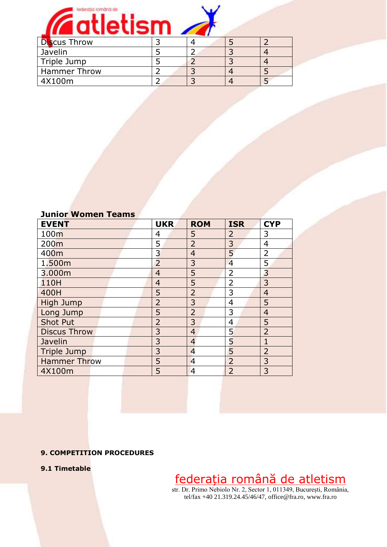

| Javelin             |  |  |
|---------------------|--|--|
| Triple Jump         |  |  |
| <b>Hammer Throw</b> |  |  |
| 4X100m              |  |  |

| <b>Junior Women Teams</b> |  |
|---------------------------|--|
|---------------------------|--|

| <b>EVENT</b>        | <b>UKR</b>     | <b>ROM</b>     | <b>ISR</b>     | <b>CYP</b>     |
|---------------------|----------------|----------------|----------------|----------------|
| 100m                | 4              | 5              | $\overline{2}$ | 3              |
| 200 <sub>m</sub>    | 5              | $\overline{2}$ | 3              | 4              |
| 400m                | 3              | $\overline{4}$ | 5              | 2              |
| 1.500m              | $\overline{2}$ | 3              | $\overline{4}$ | 5              |
| 3.000m              | $\overline{4}$ | 5              | 2              | 3              |
| 110H                | $\overline{4}$ | 5              | $\overline{2}$ | 3              |
| 400H                | 5              | $\overline{2}$ | 3              | $\overline{4}$ |
| <b>High Jump</b>    | $\overline{2}$ | 3              | 4              | 5              |
| Long Jump           | 5              | $\overline{2}$ | 3              | $\overline{4}$ |
| <b>Shot Put</b>     | $\overline{2}$ | 3              | 4              | 5              |
| <b>Discus Throw</b> | 3              | $\overline{4}$ | 5              | $\overline{2}$ |
| Javelin             | 3              | $\overline{4}$ | 5              | 1              |
| <b>Triple Jump</b>  | 3              | $\overline{4}$ | 5              | $\overline{2}$ |
| <b>Hammer Throw</b> | 5              | $\overline{4}$ | $\overline{2}$ | 3              |
| 4X100m              | 5              | $\overline{4}$ | $\overline{2}$ | 3              |

#### **9. COMPETITION PROCEDURES**

**9.1 Timetable**

federația română de atletism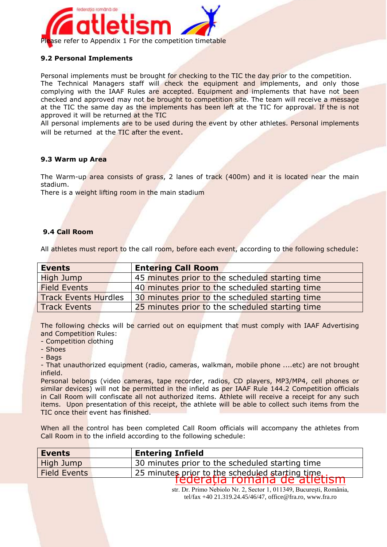

#### **9.2 Personal Implements**

Personal implements must be brought for checking to the TIC the day prior to the competition. The Technical Managers staff will check the equipment and implements, and only those complying with the IAAF Rules are accepted. Equipment and implements that have not been checked and approved may not be brought to competition site. The team will receive a message at the TIC the same day as the implements has been left at the TIC for approval. If the is not approved it will be returned at the TIC

All personal implements are to be used during the event by other athletes. Personal implements will be returned at the TIC after the event.

#### **9.3 Warm up Area**

The Warm-up area consists of grass, 2 lanes of track (400m) and it is located near the main stadium.

There is a weight lifting room in the main stadium

#### **9.4 Call Room**

All athletes must report to the call room, before each event, according to the following schedule:

The following checks will be carried out on equipment that must comply with IAAF Advertising and Competition Rules:

- Competition clothing

- Shoes

- Bags

- That unauthorized equipment (radio, cameras, walkman, mobile phone ....etc) are not brought infield.

Personal belongs (video cameras, tape recorder, radios, CD players, MP3/MP4, cell phones or similar devices) will not be permitted in the infield as per IAAF Rule 144.2 Competition officials in Call Room will confiscate all not authorized items. Athlete will receive a receipt for any such items. Upon presentation of this receipt, the athlete will be able to collect such items from the TIC once their event has finished.

When all the control has been completed Call Room officials will accompany the athletes from Call Room in to the infield according to the following schedule:

| <b>Events</b>       | <b>Entering Infield</b>                          |
|---------------------|--------------------------------------------------|
| High Jump           | 30 minutes prior to the scheduled starting time  |
| <b>Field Events</b> | 25 minutes prior to the scheduled starting time. |
|                     | federatia romana de atletism                     |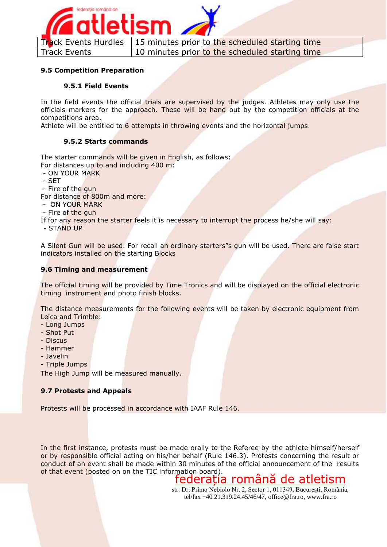

#### **9.5 Competition Preparation**

#### **9.5.1 Field Events**

In the field events the official trials are supervised by the judges. Athletes may only use the officials markers for the approach. These will be hand out by the competition officials at the competitions area.

Athlete will be entitled to 6 attempts in throwing events and the horizontal jumps.

#### **9.5.2 Starts commands**

The starter commands will be given in English, as follows: For distances up to and including 400 m:

- ON YOUR MARK
- SET
- Fire of the gun

For distance of 800m and more:

- ON YOUR MARK
- Fire of the gun

If for any reason the starter feels it is necessary to interrupt the process he/she will say:

- STAND UP

A Silent Gun will be used. For recall an ordinary starters"s gun will be used. There are false start indicators installed on the starting Blocks

#### **9.6 Timing and measurement**

The official timing will be provided by Time Tronics and will be displayed on the official electronic timing instrument and photo finish blocks.

The distance measurements for the following events will be taken by electronic equipment from Leica and Trimble:

- Long Jumps
- Shot Put
- Discus
- Hammer
- Javelin
- Triple Jumps

The High Jump will be measured manually.

#### **9.7 Protests and Appeals**

Protests will be processed in accordance with IAAF Rule 146.

In the first instance, protests must be made orally to the Referee by the athlete himself/herself or by responsible official acting on his/her behalf (Rule 146.3). Protests concerning the result or conduct of an event shall be made within 30 minutes of the official announcement of the results of that event (posted on on the TIC information board).

### federația română de atletism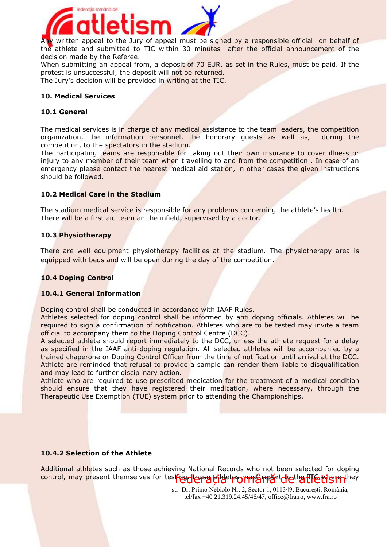

Any written appeal to the Jury of appeal must be signed by a responsible official on behalf of the athlete and submitted to TIC within 30 minutes after the official announcement of the decision made by the Referee.

When submitting an appeal from, a deposit of 70 EUR. as set in the Rules, must be paid. If the protest is unsuccessful, the deposit will not be returned.

The Jury's decision will be provided in writing at the TIC.

#### **10. Medical Services**

#### **10.1 General**

The medical services is in charge of any medical assistance to the team leaders, the competition organization, the information personnel, the honorary guests as well as, during the competition, to the spectators in the stadium.

The participating teams are responsible for taking out their own insurance to cover illness or injury to any member of their team when travelling to and from the competition. In case of an emergency please contact the nearest medical aid station, in other cases the given instructions should be followed.

#### **10.2 Medical Care in the Stadium**

The stadium medical service is responsible for any problems concerning the athlete's health. There will be a first aid team an the infield, supervised by a doctor.

#### **10.3 Physiotherapy**

There are well equipment physiotherapy facilities at the stadium. The physiotherapy area is equipped with beds and will be open during the day of the competition.

#### **10.4 Doping Control**

#### **10.4.1 General Information**

Doping control shall be conducted in accordance with IAAF Rules.

Athletes selected for doping control shall be informed by anti doping officials. Athletes will be required to sign a confirmation of notification. Athletes who are to be tested may invite a team official to accompany them to the Doping Control Centre (DCC).

A selected athlete should report immediately to the DCC, unless the athlete request for a delay as specified in the IAAF anti-doping regulation. All selected athletes will be accompanied by a trained chaperone or Doping Control Officer from the time of notification until arrival at the DCC. Athlete are reminded that refusal to provide a sample can render them liable to disqualification and may lead to further disciplinary action.

Athlete who are required to use prescribed medication for the treatment of a medical condition should ensure that they have registered their medication, where necessary, through the Therapeutic Use Exemption (TUE) system prior to attending the Championships.

#### **10.4.2 Selection of the Athlete**

control, may present themselves for testing. The thet proper single that the wist of the to Additional athletes such as those achieving National Records who not been selected for doping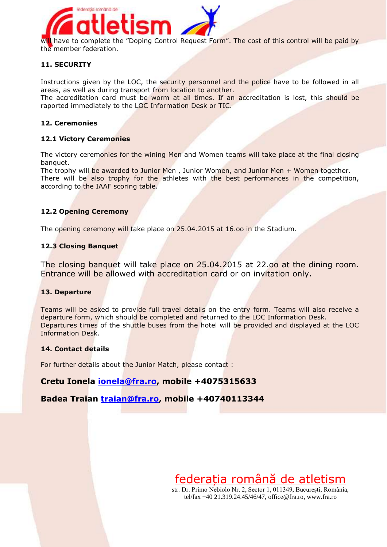

#### **11. SECURITY**

Instructions given by the LOC, the security personnel and the police have to be followed in all areas, as well as during transport from location to another.

The accreditation card must be worm at all times. If an accreditation is lost, this should be raported immediately to the LOC Information Desk or TIC.

#### **12. Ceremonies**

#### **12.1 Victory Ceremonies**

The victory ceremonies for the wining Men and Women teams will take place at the final closing banquet.

The trophy will be awarded to Junior Men, Junior Women, and Junior Men + Women together. There will be also trophy for the athletes with the best performances in the competition, according to the IAAF scoring table.

#### **12.2 Opening Ceremony**

The opening ceremony will take place on 25.04.2015 at 16.oo in the Stadium.

#### **12.3 Closing Banquet**

The closing banquet will take place on 25.04.2015 at 22.oo at the dining room. Entrance will be allowed with accreditation card or on invitation only.

#### **13. Departure**

Teams will be asked to provide full travel details on the entry form. Teams will also receive a departure form, which should be completed and returned to the LOC Information Desk. Departures times of the shuttle buses from the hotel will be provided and displayed at the LOC Information Desk.

#### **14. Contact details**

For further details about the Junior Match, please contact :

#### **Cretu Ionela [ionela@fra.ro,](mailto:ionela@fra.ro) mobile +4075315633**

#### **Badea Traian [traian@fra.ro,](mailto:traian@fra.ro) mobile +40740113344**

federația română de atletism str. Dr. Primo Nebiolo Nr. 2, Sector 1, 011349, București, România,

tel/fax +40 21.319.24.45/46/47[, office@fra.ro,](mailto:office@fra.ro) www.fra.ro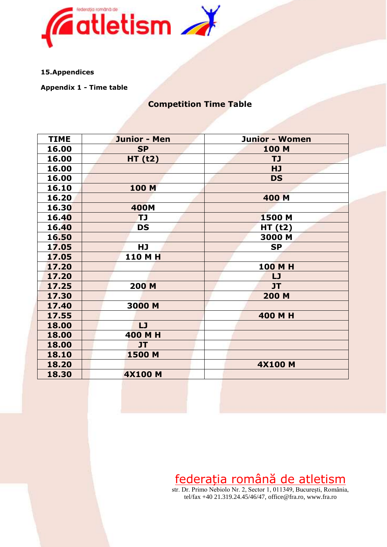

#### **15.Appendices**

**Appendix 1 - Time table**

### **Competition Time Table**

| <b>TIME</b> | <b>Junior - Men</b> | <b>Junior - Women</b> |
|-------------|---------------------|-----------------------|
| 16.00       | <b>SP</b>           | 100 M                 |
| 16.00       | HT(t2)              | <b>TJ</b>             |
| 16.00       |                     | <b>HJ</b>             |
| 16.00       |                     | <b>DS</b>             |
| 16.10       | <b>100 M</b>        |                       |
| 16.20       |                     | 400 M                 |
| 16.30       | <b>400M</b>         |                       |
| 16.40       | TJ                  | 1500 M                |
| 16.40       | <b>DS</b>           | <b>HT (t2)</b>        |
| 16.50       |                     | 3000 M                |
| 17.05       | HJ                  | <b>SP</b>             |
| 17.05       | <b>110 M H</b>      |                       |
| 17.20       |                     | 100 M H               |
| 17.20       |                     | LJ                    |
| 17.25       | <b>200 M</b>        | JT                    |
| 17.30       |                     | 200 M                 |
| 17.40       | 3000 M              |                       |
| 17.55       |                     | 400 M H               |
| 18.00       | LJ                  |                       |
| 18.00       | 400 M H             |                       |
| 18.00       | <b>JT</b>           |                       |
| 18.10       | 1500 M              |                       |
| 18.20       |                     | <b>4X100 M</b>        |
| 18.30       | <b>4X100 M</b>      |                       |

federația română de atletism